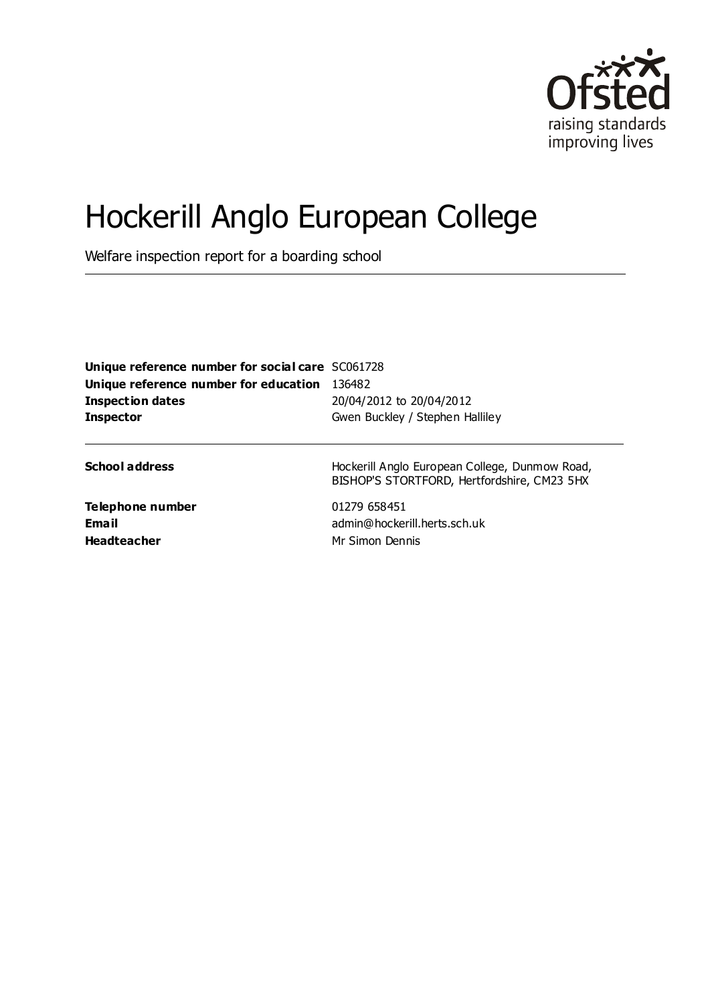

# Hockerill Anglo European College

Welfare inspection report for a boarding school

| Unique reference number for social care SC061728 |                                                                                               |  |
|--------------------------------------------------|-----------------------------------------------------------------------------------------------|--|
| Unique reference number for education 136482     |                                                                                               |  |
| <b>Inspection dates</b>                          | 20/04/2012 to 20/04/2012                                                                      |  |
| <b>Inspector</b>                                 | Gwen Buckley / Stephen Halliley                                                               |  |
| <b>School address</b>                            | Hockerill Anglo European College, Dunmow Road,<br>BISHOP'S STORTFORD, Hertfordshire, CM23 5HX |  |
| Telephone number<br>Email<br><b>Headteacher</b>  | 01279 658451<br>admin@hockerill.herts.sch.uk<br>Mr Simon Dennis                               |  |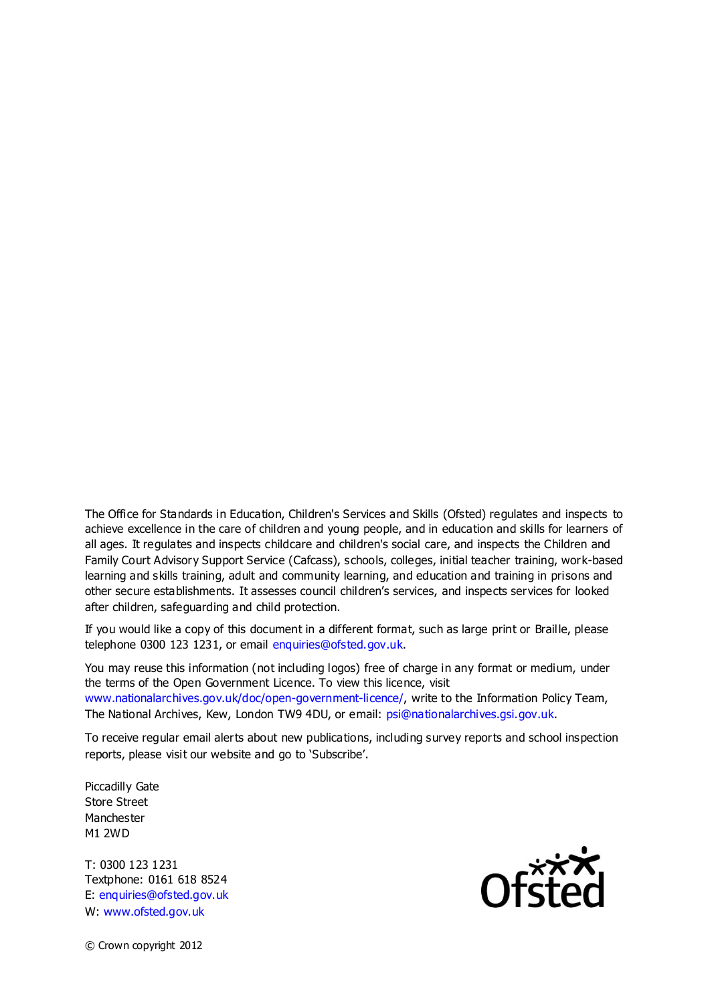The Office for Standards in Education, Children's Services and Skills (Ofsted) regulates and inspects to achieve excellence in the care of children and young people, and in education and skills for learners of all ages. It regulates and inspects childcare and children's social care, and inspects the Children and Family Court Advisory Support Service (Cafcass), schools, colleges, initial teacher training, work-based learning and skills training, adult and community learning, and education and training in prisons and other secure establishments. It assesses council children's services, and inspects services for looked after children, safeguarding and child protection.

If you would like a copy of this document in a different format, such as large print or Braille, please telephone 0300 123 1231, or email enquiries@ofsted.gov.uk.

You may reuse this information (not including logos) free of charge in any format or medium, under the terms of the Open Government Licence. To view this licence, visit www.nationalarchives.gov.uk/doc/open-government-licence/, write to the Information Policy Team, The National Archives, Kew, London TW9 4DU, or email: psi@nationalarchives.gsi.gov.uk.

To receive regular email alerts about new publications, including survey reports and school inspection reports, please visit our website and go to 'Subscribe'.

Piccadilly Gate Store Street Manchester M1 2WD

T: 0300 123 1231 Textphone: 0161 618 8524 E: enquiries@ofsted.gov.uk W: www.ofsted.gov.uk



© Crown copyright 2012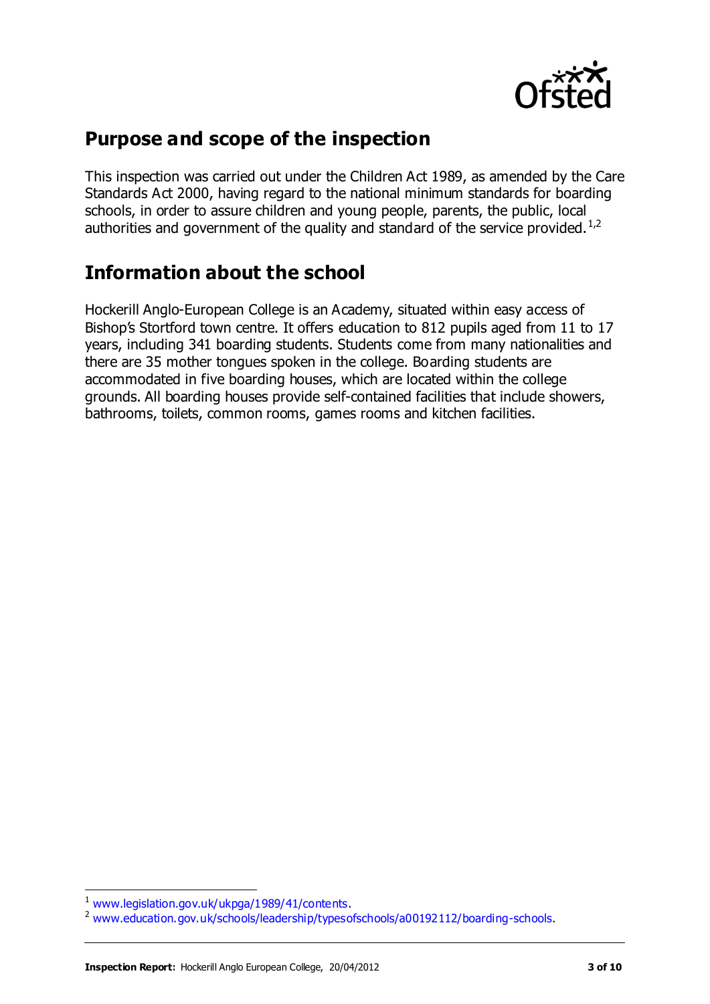

## **Purpose and scope of the inspection**

This inspection was carried out under the Children Act 1989, as amended by the Care Standards Act 2000, having regard to the national minimum standards for boarding schools, in order to assure children and young people, parents, the public, local authorities and government of the quality and standard of the service provided.<sup>1,2</sup>

## **Information about the school**

Hockerill Anglo-European College is an Academy, situated within easy access of Bishop's Stortford town centre. It offers education to 812 pupils aged from 11 to 17 years, including 341 boarding students. Students come from many nationalities and there are 35 mother tongues spoken in the college. Boarding students are accommodated in five boarding houses, which are located within the college grounds. All boarding houses provide self-contained facilities that include showers, bathrooms, toilets, common rooms, games rooms and kitchen facilities.

 $\overline{a}$ 

<sup>&</sup>lt;sup>1</sup> [www.legislation.gov.uk/ukpga/1989/41/contents.](http://www.legislation.gov.uk/ukpga/1989/41/contents)

<sup>&</sup>lt;sup>2</sup> [www.education.gov.uk/schools/leadership/typesofschools/a00192112/boarding-schools.](http://www.education.gov.uk/schools/leadership/typesofschools/a00192112/boarding-schools)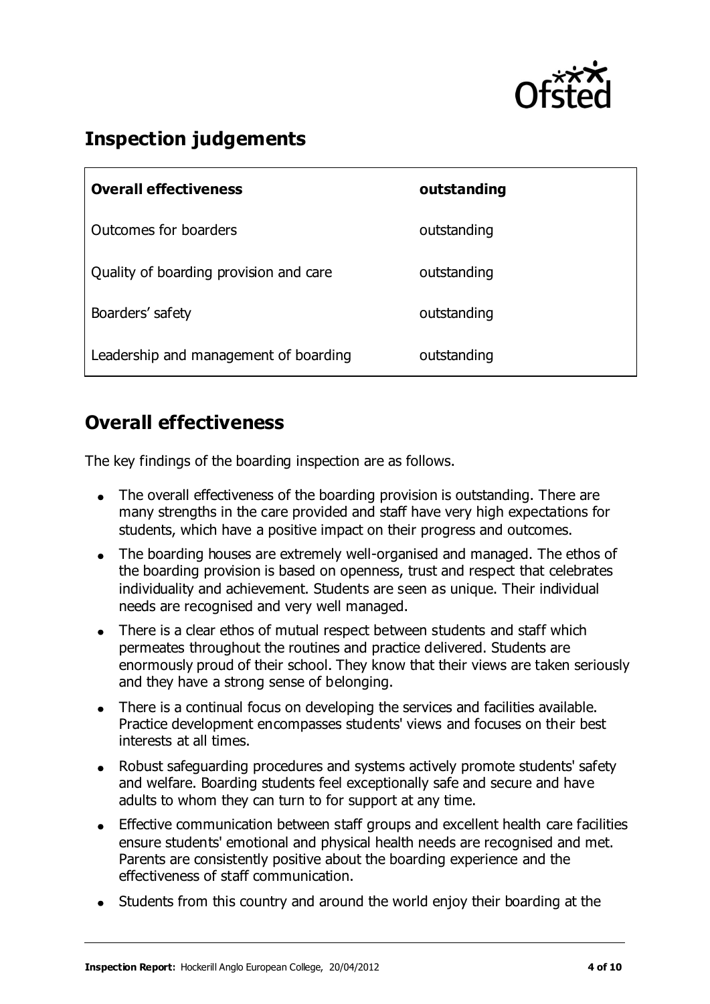

## **Inspection judgements**

| <b>Overall effectiveness</b>           | outstanding |
|----------------------------------------|-------------|
| Outcomes for boarders                  | outstanding |
| Quality of boarding provision and care | outstanding |
| Boarders' safety                       | outstanding |
| Leadership and management of boarding  | outstanding |

### **Overall effectiveness**

The key findings of the boarding inspection are as follows.

- The overall effectiveness of the boarding provision is outstanding. There are many strengths in the care provided and staff have very high expectations for students, which have a positive impact on their progress and outcomes.
- The boarding houses are extremely well-organised and managed. The ethos of the boarding provision is based on openness, trust and respect that celebrates individuality and achievement. Students are seen as unique. Their individual needs are recognised and very well managed.
- There is a clear ethos of mutual respect between students and staff which permeates throughout the routines and practice delivered. Students are enormously proud of their school. They know that their views are taken seriously and they have a strong sense of belonging.
- There is a continual focus on developing the services and facilities available. Practice development encompasses students' views and focuses on their best interests at all times.
- Robust safeguarding procedures and systems actively promote students' safety  $\bullet$ and welfare. Boarding students feel exceptionally safe and secure and have adults to whom they can turn to for support at any time.
- Effective communication between staff groups and excellent health care facilities ensure students' emotional and physical health needs are recognised and met. Parents are consistently positive about the boarding experience and the effectiveness of staff communication.
- Students from this country and around the world enjoy their boarding at the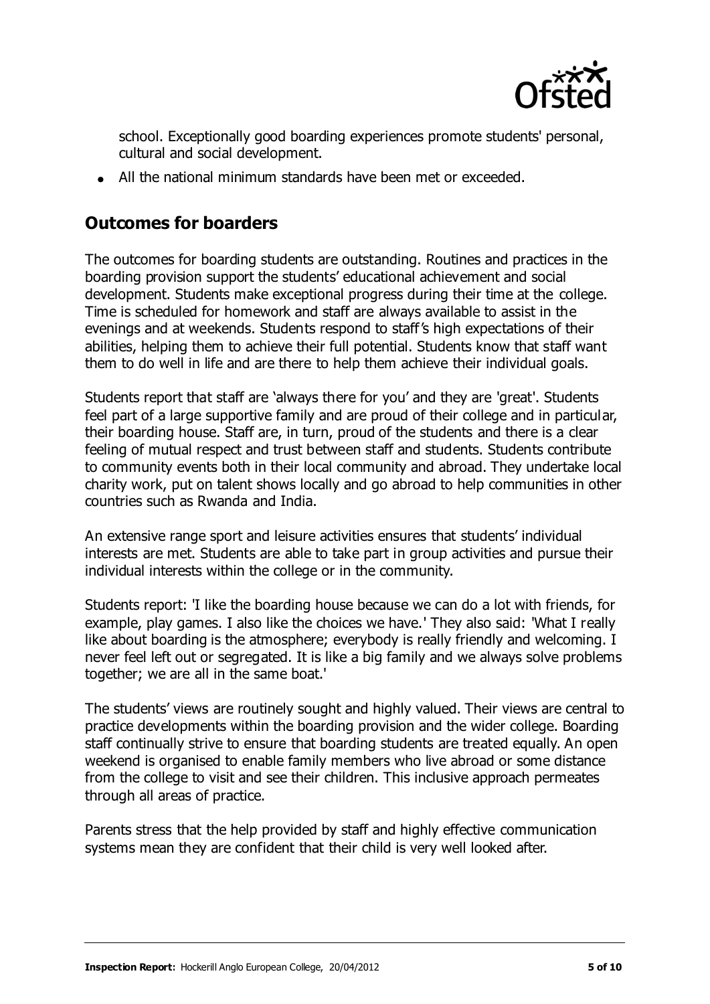

school. Exceptionally good boarding experiences promote students' personal, cultural and social development.

All the national minimum standards have been met or exceeded.

#### **Outcomes for boarders**

The outcomes for boarding students are outstanding. Routines and practices in the boarding provision support the students' educational achievement and social development. Students make exceptional progress during their time at the college. Time is scheduled for homework and staff are always available to assist in the evenings and at weekends. Students respond to staff's high expectations of their abilities, helping them to achieve their full potential. Students know that staff want them to do well in life and are there to help them achieve their individual goals.

Students report that staff are 'always there for you' and they are 'great'. Students feel part of a large supportive family and are proud of their college and in particular, their boarding house. Staff are, in turn, proud of the students and there is a clear feeling of mutual respect and trust between staff and students. Students contribute to community events both in their local community and abroad. They undertake local charity work, put on talent shows locally and go abroad to help communities in other countries such as Rwanda and India.

An extensive range sport and leisure activities ensures that students' individual interests are met. Students are able to take part in group activities and pursue their individual interests within the college or in the community.

Students report: 'I like the boarding house because we can do a lot with friends, for example, play games. I also like the choices we have.' They also said: 'What I really like about boarding is the atmosphere; everybody is really friendly and welcoming. I never feel left out or segregated. It is like a big family and we always solve problems together; we are all in the same boat.'

The students' views are routinely sought and highly valued. Their views are central to practice developments within the boarding provision and the wider college. Boarding staff continually strive to ensure that boarding students are treated equally. An open weekend is organised to enable family members who live abroad or some distance from the college to visit and see their children. This inclusive approach permeates through all areas of practice.

Parents stress that the help provided by staff and highly effective communication systems mean they are confident that their child is very well looked after.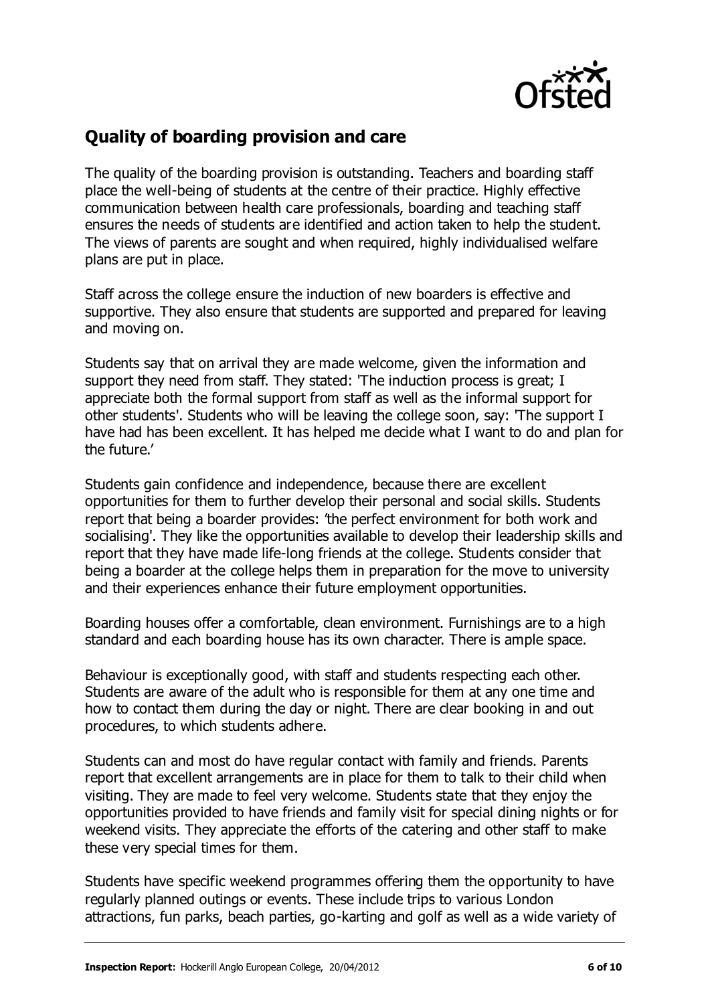

#### **Quality of boarding provision and care**

The quality of the boarding provision is outstanding. Teachers and boarding staff place the well-being of students at the centre of their practice. Highly effective communication between health care professionals, boarding and teaching staff ensures the needs of students are identified and action taken to help the student. The views of parents are sought and when required, highly individualised welfare plans are put in place.

Staff across the college ensure the induction of new boarders is effective and supportive. They also ensure that students are supported and prepared for leaving and moving on.

Students say that on arrival they are made welcome, given the information and support they need from staff. They stated: 'The induction process is great; I appreciate both the formal support from staff as well as the informal support for other students'. Students who will be leaving the college soon, say: 'The support I have had has been excellent. It has helped me decide what I want to do and plan for the future.'

Students gain confidence and independence, because there are excellent opportunities for them to further develop their personal and social skills. Students report that being a boarder provides: 'the perfect environment for both work and socialising'. They like the opportunities available to develop their leadership skills and report that they have made life-long friends at the college. Students consider that being a boarder at the college helps them in preparation for the move to university and their experiences enhance their future employment opportunities.

Boarding houses offer a comfortable, clean environment. Furnishings are to a high standard and each boarding house has its own character. There is ample space.

Behaviour is exceptionally good, with staff and students respecting each other. Students are aware of the adult who is responsible for them at any one time and how to contact them during the day or night. There are clear booking in and out procedures, to which students adhere.

Students can and most do have regular contact with family and friends. Parents report that excellent arrangements are in place for them to talk to their child when visiting. They are made to feel very welcome. Students state that they enjoy the opportunities provided to have friends and family visit for special dining nights or for weekend visits. They appreciate the efforts of the catering and other staff to make these very special times for them.

Students have specific weekend programmes offering them the opportunity to have regularly planned outings or events. These include trips to various London attractions, fun parks, beach parties, go-karting and golf as well as a wide variety of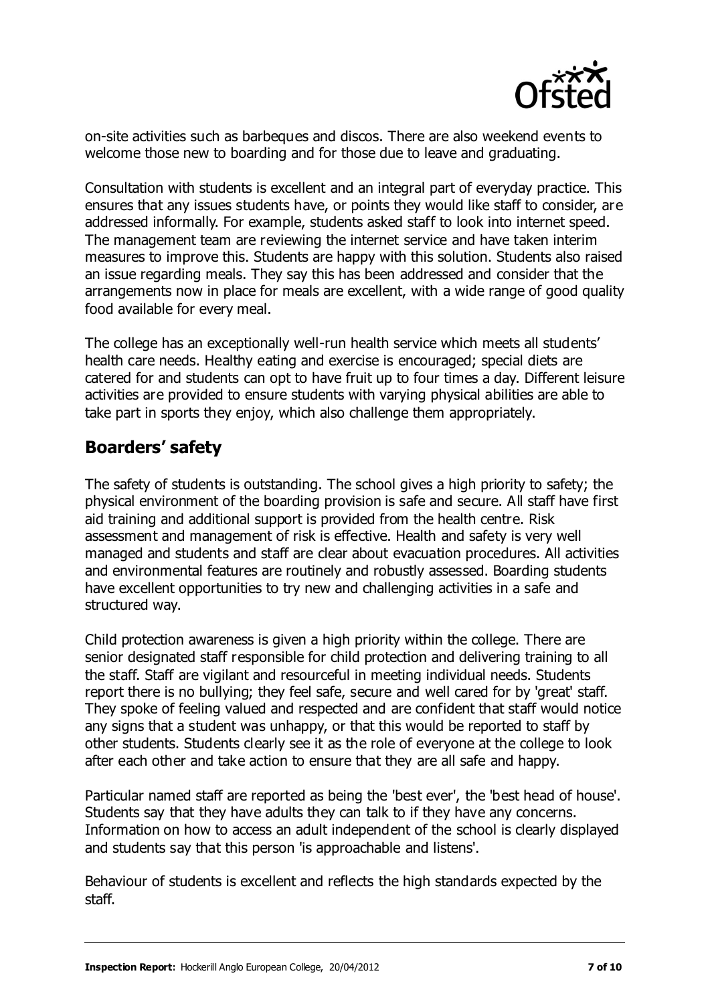

on-site activities such as barbeques and discos. There are also weekend events to welcome those new to boarding and for those due to leave and graduating.

Consultation with students is excellent and an integral part of everyday practice. This ensures that any issues students have, or points they would like staff to consider, are addressed informally. For example, students asked staff to look into internet speed. The management team are reviewing the internet service and have taken interim measures to improve this. Students are happy with this solution. Students also raised an issue regarding meals. They say this has been addressed and consider that the arrangements now in place for meals are excellent, with a wide range of good quality food available for every meal.

The college has an exceptionally well-run health service which meets all students' health care needs. Healthy eating and exercise is encouraged; special diets are catered for and students can opt to have fruit up to four times a day. Different leisure activities are provided to ensure students with varying physical abilities are able to take part in sports they enjoy, which also challenge them appropriately.

#### **Boarders' safety**

The safety of students is outstanding. The school gives a high priority to safety; the physical environment of the boarding provision is safe and secure. All staff have first aid training and additional support is provided from the health centre. Risk assessment and management of risk is effective. Health and safety is very well managed and students and staff are clear about evacuation procedures. All activities and environmental features are routinely and robustly assessed. Boarding students have excellent opportunities to try new and challenging activities in a safe and structured way.

Child protection awareness is given a high priority within the college. There are senior designated staff responsible for child protection and delivering training to all the staff. Staff are vigilant and resourceful in meeting individual needs. Students report there is no bullying; they feel safe, secure and well cared for by 'great' staff. They spoke of feeling valued and respected and are confident that staff would notice any signs that a student was unhappy, or that this would be reported to staff by other students. Students clearly see it as the role of everyone at the college to look after each other and take action to ensure that they are all safe and happy.

Particular named staff are reported as being the 'best ever', the 'best head of house'. Students say that they have adults they can talk to if they have any concerns. Information on how to access an adult independent of the school is clearly displayed and students say that this person 'is approachable and listens'.

Behaviour of students is excellent and reflects the high standards expected by the staff.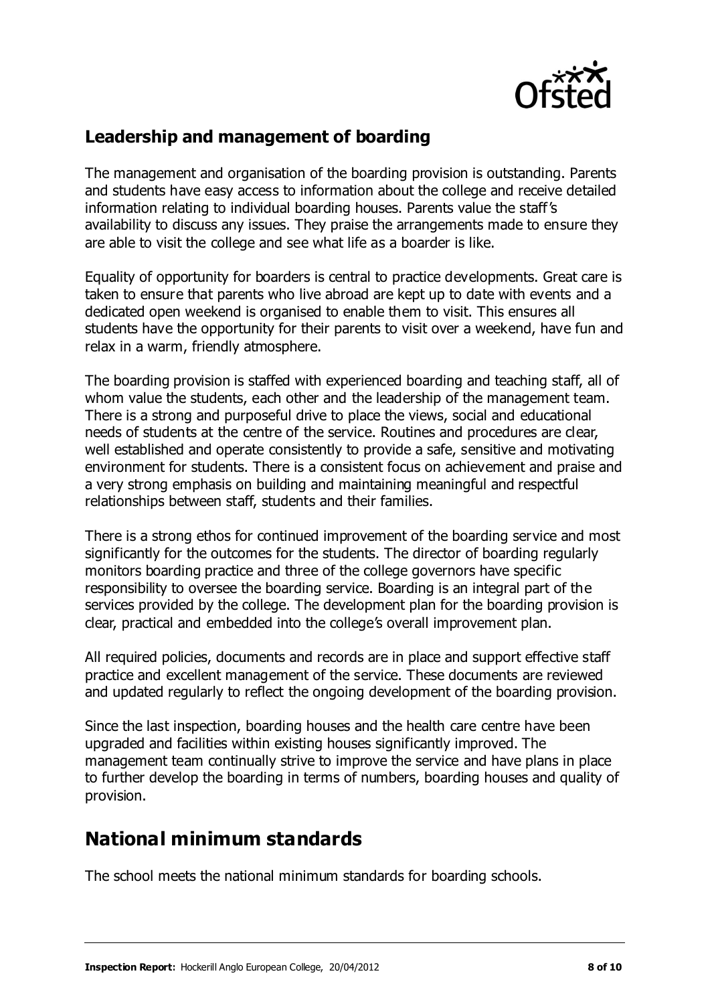

#### **Leadership and management of boarding**

The management and organisation of the boarding provision is outstanding. Parents and students have easy access to information about the college and receive detailed information relating to individual boarding houses. Parents value the staff's availability to discuss any issues. They praise the arrangements made to ensure they are able to visit the college and see what life as a boarder is like.

Equality of opportunity for boarders is central to practice developments. Great care is taken to ensure that parents who live abroad are kept up to date with events and a dedicated open weekend is organised to enable them to visit. This ensures all students have the opportunity for their parents to visit over a weekend, have fun and relax in a warm, friendly atmosphere.

The boarding provision is staffed with experienced boarding and teaching staff, all of whom value the students, each other and the leadership of the management team. There is a strong and purposeful drive to place the views, social and educational needs of students at the centre of the service. Routines and procedures are clear, well established and operate consistently to provide a safe, sensitive and motivating environment for students. There is a consistent focus on achievement and praise and a very strong emphasis on building and maintaining meaningful and respectful relationships between staff, students and their families.

There is a strong ethos for continued improvement of the boarding service and most significantly for the outcomes for the students. The director of boarding regularly monitors boarding practice and three of the college governors have specific responsibility to oversee the boarding service. Boarding is an integral part of the services provided by the college. The development plan for the boarding provision is clear, practical and embedded into the college's overall improvement plan.

All required policies, documents and records are in place and support effective staff practice and excellent management of the service. These documents are reviewed and updated regularly to reflect the ongoing development of the boarding provision.

Since the last inspection, boarding houses and the health care centre have been upgraded and facilities within existing houses significantly improved. The management team continually strive to improve the service and have plans in place to further develop the boarding in terms of numbers, boarding houses and quality of provision.

### **National minimum standards**

The school meets the national minimum standards for boarding schools.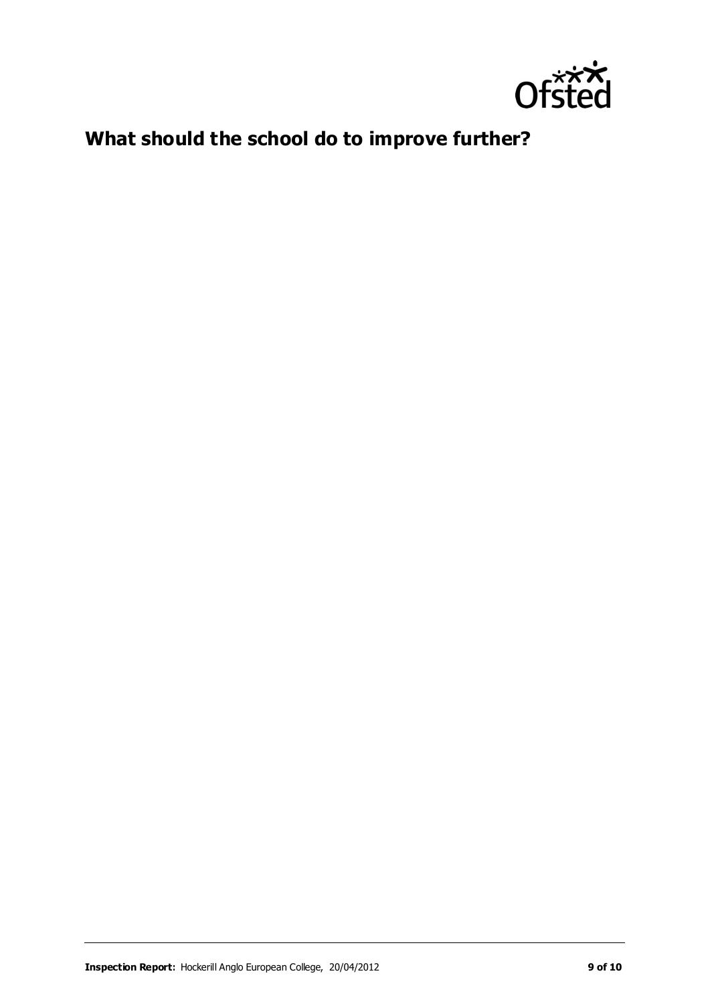

## **What should the school do to improve further?**